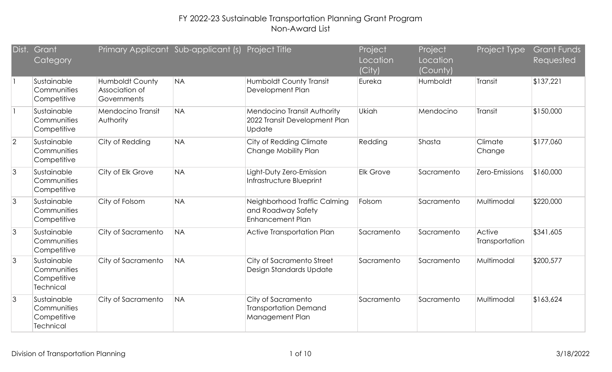| Dist.          | Grant<br>Category                                      | Primary Applicant Sub-applicant (s)              |           | <b>Project Title</b>                                                          | Project<br>Location<br>(City) | Project<br>Location<br>(County) | Project Type             | <b>Grant Funds</b><br>Requested |
|----------------|--------------------------------------------------------|--------------------------------------------------|-----------|-------------------------------------------------------------------------------|-------------------------------|---------------------------------|--------------------------|---------------------------------|
|                | Sustainable<br>Communities<br>Competitive              | Humboldt County<br>Association of<br>Governments | <b>NA</b> | Humboldt County Transit<br>Development Plan                                   | Eureka                        | Humboldt                        | Transit                  | \$137,221                       |
|                | Sustainable<br>Communities<br>Competitive              | Mendocino Transit<br>Authority                   | <b>NA</b> | Mendocino Transit Authority<br>2022 Transit Development Plan<br><b>Update</b> | <b>Ukiah</b>                  | Mendocino                       | Transit                  | \$150,000                       |
| $\overline{2}$ | Sustainable<br>Communities<br>Competitive              | City of Redding                                  | <b>NA</b> | City of Redding Climate<br>Change Mobility Plan                               | Redding                       | Shasta                          | Climate<br>Change        | \$177,060                       |
| 3              | Sustainable<br>Communities<br>Competitive              | City of Elk Grove                                | <b>NA</b> | Light-Duty Zero-Emission<br>Infrastructure Blueprint                          | <b>Elk Grove</b>              | Sacramento                      | Zero-Emissions           | \$160,000                       |
| 3              | Sustainable<br>Communities<br>Competitive              | City of Folsom                                   | <b>NA</b> | Neighborhood Traffic Calming<br>and Roadway Safety<br><b>Enhancement Plan</b> | Folsom                        | Sacramento                      | Multimodal               | \$220,000                       |
| 3              | Sustainable<br>Communities<br>Competitive              | City of Sacramento                               | <b>NA</b> | Active Transportation Plan                                                    | Sacramento                    | Sacramento                      | Active<br>Transportation | \$341,605                       |
| 3              | Sustainable<br>Communities<br>Competitive<br>Technical | City of Sacramento                               | <b>NA</b> | City of Sacramento Street<br>Design Standards Update                          | Sacramento                    | Sacramento                      | Multimodal               | \$200,577                       |
| 3              | Sustainable<br>Communities<br>Competitive<br>Technical | City of Sacramento                               | <b>NA</b> | City of Sacramento<br><b>Transportation Demand</b><br>Management Plan         | Sacramento                    | Sacramento                      | Multimodal               | \$163,624                       |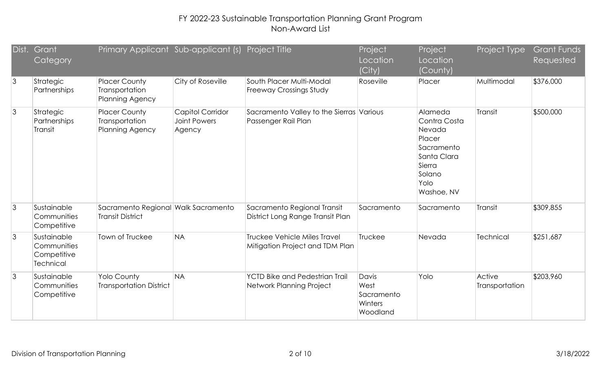| Dist. | Grant<br>Category                                      | Primary Applicant Sub-applicant (s) Project Title              |                                                   |                                                                   | Project<br>Location<br>(City)                      | Project<br>Location<br>(County)                                                                                    | Project Type             | <b>Grant Funds</b><br>Requested |
|-------|--------------------------------------------------------|----------------------------------------------------------------|---------------------------------------------------|-------------------------------------------------------------------|----------------------------------------------------|--------------------------------------------------------------------------------------------------------------------|--------------------------|---------------------------------|
| 3     | Strategic<br>Partnerships                              | <b>Placer County</b><br>Transportation<br>Planning Agency      | City of Roseville                                 | South Placer Multi-Modal<br><b>Freeway Crossings Study</b>        | Roseville                                          | Placer                                                                                                             | Multimodal               | \$376,000                       |
| 3     | Strategic<br>Partnerships<br>Transit                   | <b>Placer County</b><br>Transportation<br>Planning Agency      | Capitol Corridor<br><b>Joint Powers</b><br>Agency | Sacramento Valley to the Sierras Various<br>Passenger Rail Plan   |                                                    | Alameda<br>Contra Costa<br>Nevada<br>Placer<br>Sacramento<br>Santa Clara<br>Sierra<br>Solano<br>Yolo<br>Washoe, NV | Transit                  | \$500,000                       |
| 3     | Sustainable<br>Communities<br>Competitive              | Sacramento Regional Walk Sacramento<br><b>Transit District</b> |                                                   | Sacramento Regional Transit<br>District Long Range Transit Plan   | Sacramento                                         | Sacramento                                                                                                         | Transit                  | \$309,855                       |
| 3     | Sustainable<br>Communities<br>Competitive<br>Technical | Town of Truckee                                                | <b>NA</b>                                         | Truckee Vehicle Miles Travel<br>Mitigation Project and TDM Plan   | Truckee                                            | Nevada                                                                                                             | Technical                | \$251,687                       |
| 3     | Sustainable<br>Communities<br>Competitive              | <b>Yolo County</b><br><b>Transportation District</b>           | <b>NA</b>                                         | <b>YCTD Bike and Pedestrian Trail</b><br>Network Planning Project | Davis<br>West<br>Sacramento<br>Winters<br>Woodland | Yolo                                                                                                               | Active<br>Transportation | \$203,960                       |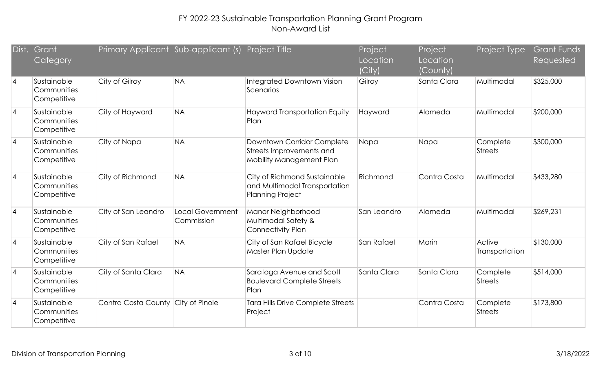|                | Dist. Grant<br>Category                          | Primary Applicant Sub-applicant (s) |                                       | <b>Project Title</b>                                                                     | Project<br>Location<br>(City) | Project<br>Location<br>(County) | Project Type               | <b>Grant Funds</b><br>Requested |
|----------------|--------------------------------------------------|-------------------------------------|---------------------------------------|------------------------------------------------------------------------------------------|-------------------------------|---------------------------------|----------------------------|---------------------------------|
| $\overline{4}$ | Sustainable<br>Communities<br>Competitive        | City of Gilroy                      | <b>NA</b>                             | Integrated Downtown Vision<br>Scenarios                                                  | Gilroy                        | Santa Clara                     | Multimodal                 | \$325,000                       |
| $\overline{4}$ | Sustainable<br>Communities<br>Competitive        | City of Hayward                     | <b>NA</b>                             | <b>Hayward Transportation Equity</b><br>Plan                                             | Hayward                       | Alameda                         | Multimodal                 | \$200,000                       |
| $\overline{4}$ | Sustainable<br>Communities<br>Competitive        | City of Napa                        | <b>NA</b>                             | Downtown Corridor Complete<br>Streets Improvements and<br>Mobility Management Plan       | Napa                          | Napa                            | Complete<br><b>Streets</b> | \$300,000                       |
| $\overline{4}$ | Sustainable<br><b>Communities</b><br>Competitive | City of Richmond                    | <b>NA</b>                             | City of Richmond Sustainable<br>and Multimodal Transportation<br><b>Planning Project</b> | Richmond                      | Contra Costa                    | Multimodal                 | \$433,280                       |
| $\overline{4}$ | Sustainable<br>Communities<br>Competitive        | City of San Leandro                 | <b>Local Government</b><br>Commission | Manor Neighborhood<br>Multimodal Safety &<br><b>Connectivity Plan</b>                    | San Leandro                   | Alameda                         | Multimodal                 | \$269,231                       |
| $\overline{4}$ | Sustainable<br>Communities<br>Competitive        | City of San Rafael                  | <b>NA</b>                             | City of San Rafael Bicycle<br>Master Plan Update                                         | San Rafael                    | Marin                           | Active<br>Transportation   | \$130,000                       |
| $\overline{4}$ | Sustainable<br>Communities<br>Competitive        | City of Santa Clara                 | <b>NA</b>                             | Saratoga Avenue and Scott<br><b>Boulevard Complete Streets</b><br>Plan                   | Santa Clara                   | Santa Clara                     | Complete<br><b>Streets</b> | \$514,000                       |
| $\overline{4}$ | Sustainable<br>Communities<br>Competitive        | Contra Costa County City of Pinole  |                                       | <b>Tara Hills Drive Complete Streets</b><br>Project                                      |                               | Contra Costa                    | Complete<br><b>Streets</b> | \$173,800                       |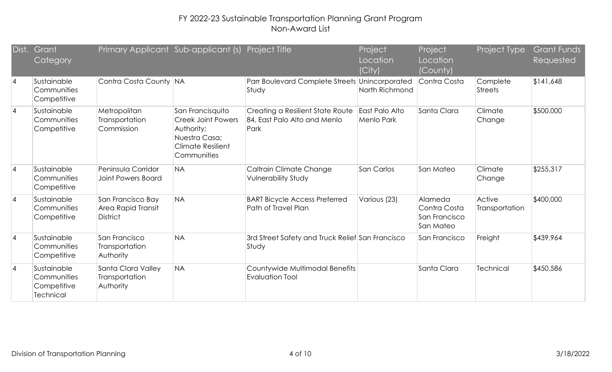| Dist.          | Grant<br>Category                                      | Primary Applicant Sub-applicant (s) Project Title          |                                                                                                                         |                                                                          | Project<br>Location<br>(City) | Project<br>Location<br>(County)                       | Project Type               | <b>Grant Funds</b><br>Requested |
|----------------|--------------------------------------------------------|------------------------------------------------------------|-------------------------------------------------------------------------------------------------------------------------|--------------------------------------------------------------------------|-------------------------------|-------------------------------------------------------|----------------------------|---------------------------------|
| $\overline{4}$ | Sustainable<br>Communities<br>Competitive              | Contra Costa County NA                                     |                                                                                                                         | Parr Boulevard Complete Streets Unincorporated<br>Study                  | North Richmond                | Contra Costa                                          | Complete<br><b>Streets</b> | \$141,648                       |
| 4              | Sustainable<br>Communities<br>Competitive              | Metropolitan<br>Transportation<br>Commission               | San Francisquito<br><b>Creek Joint Powers</b><br>Authority;<br>Nuestra Casa;<br><b>Climate Resilient</b><br>Communities | Creating a Resilient State Route<br>84, East Palo Alto and Menlo<br>Park | East Palo Alto<br>Menlo Park  | Santa Clara                                           | Climate<br>Change          | \$500,000                       |
| $\overline{4}$ | Sustainable<br>Communities<br>Competitive              | Peninsula Corridor<br><b>Joint Powers Board</b>            | <b>NA</b>                                                                                                               | Caltrain Climate Change<br><b>Vulnerability Study</b>                    | San Carlos                    | San Mateo                                             | Climate<br>Change          | \$255,317                       |
| 4              | Sustainable<br>Communities<br>Competitive              | San Francisco Bay<br>Area Rapid Transit<br><b>District</b> | <b>NA</b>                                                                                                               | <b>BART Bicycle Access Preferred</b><br>Path of Travel Plan              | Various (23)                  | Alameda<br>Contra Costa<br>San Francisco<br>San Mateo | Active<br>Transportation   | \$400,000                       |
| $\overline{4}$ | Sustainable<br>Communities<br>Competitive              | San Francisco<br>Transportation<br>Authority               | <b>NA</b>                                                                                                               | 3rd Street Safety and Truck Relief San Francisco<br>Study                |                               | San Francisco                                         | Freight                    | \$439,964                       |
| $\overline{4}$ | Sustainable<br>Communities<br>Competitive<br>Technical | Santa Clara Valley<br>Transportation<br>Authority          | <b>NA</b>                                                                                                               | Countywide Multimodal Benefits<br><b>Evaluation Tool</b>                 |                               | Santa Clara                                           | Technical                  | \$450,586                       |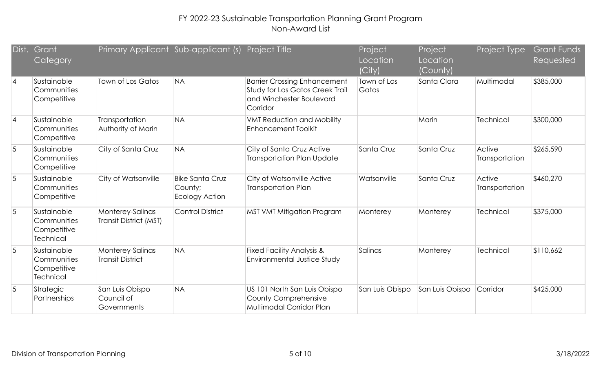| Dist.           | Grant<br>Category                                      | Primary Applicant Sub-applicant (s) Project Title |                                                            |                                                                                                                       | Project<br>Location<br>(City) | Project<br>Location<br>(County) | Project Type             | <b>Grant Funds</b><br>Requested |
|-----------------|--------------------------------------------------------|---------------------------------------------------|------------------------------------------------------------|-----------------------------------------------------------------------------------------------------------------------|-------------------------------|---------------------------------|--------------------------|---------------------------------|
| $\overline{4}$  | Sustainable<br>Communities<br>Competitive              | <b>Town of Los Gatos</b>                          | <b>NA</b>                                                  | <b>Barrier Crossing Enhancement</b><br><b>Study for Los Gatos Creek Trail</b><br>and Winchester Boulevard<br>Corridor | Town of Los<br>Gatos          | Santa Clara                     | Multimodal               | \$385,000                       |
| $\overline{4}$  | Sustainable<br><b>Communities</b><br>Competitive       | Transportation<br>Authority of Marin              | <b>NA</b>                                                  | <b>VMT Reduction and Mobility</b><br><b>Enhancement Toolkit</b>                                                       |                               | Marin                           | <b>Technical</b>         | \$300,000                       |
| 5               | Sustainable<br>Communities<br>Competitive              | City of Santa Cruz                                | <b>NA</b>                                                  | City of Santa Cruz Active<br><b>Transportation Plan Update</b>                                                        | Santa Cruz                    | Santa Cruz                      | Active<br>Transportation | \$265,590                       |
| 5               | Sustainable<br>Communities<br>Competitive              | City of Watsonville                               | <b>Bike Santa Cruz</b><br>County;<br><b>Ecology Action</b> | City of Watsonville Active<br><b>Transportation Plan</b>                                                              | Watsonville                   | Santa Cruz                      | Active<br>Transportation | \$460,270                       |
| 5               | Sustainable<br>Communities<br>Competitive<br>Technical | Monterey-Salinas<br>Transit District (MST)        | <b>Control District</b>                                    | MST VMT Mitigation Program                                                                                            | Monterey                      | Monterey                        | Technical                | \$375,000                       |
| 5               | Sustainable<br>Communities<br>Competitive<br>Technical | Monterey-Salinas<br><b>Transit District</b>       | <b>NA</b>                                                  | Fixed Facility Analysis &<br>Environmental Justice Study                                                              | Salinas                       | Monterey                        | <b>Technical</b>         | \$110,662                       |
| $5\phantom{.0}$ | Strategic<br>Partnerships                              | San Luis Obispo<br>Council of<br>Governments      | <b>NA</b>                                                  | US 101 North San Luis Obispo<br><b>County Comprehensive</b><br>Multimodal Corridor Plan                               | San Luis Obispo               | San Luis Obispo                 | Corridor                 | \$425,000                       |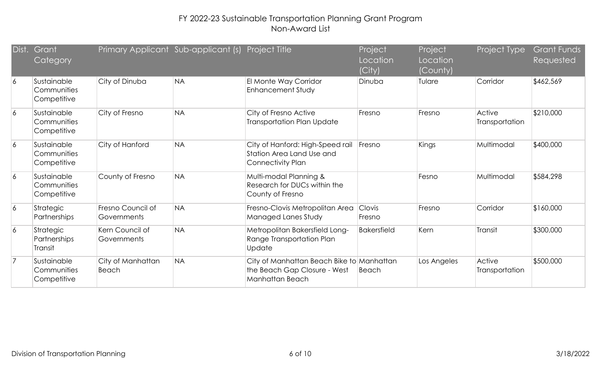| Dist. | Grant<br>Category                         | Primary Applicant Sub-applicant (s) Project Title |           |                                                                                                     | Project<br>Location<br>(City) | Project<br>Location<br>(County) | Project Type             | <b>Grant Funds</b><br>Requested |
|-------|-------------------------------------------|---------------------------------------------------|-----------|-----------------------------------------------------------------------------------------------------|-------------------------------|---------------------------------|--------------------------|---------------------------------|
| 6     | Sustainable<br>Communities<br>Competitive | City of Dinuba                                    | <b>NA</b> | El Monte Way Corridor<br><b>Enhancement Study</b>                                                   | Dinuba                        | Tulare                          | Corridor                 | \$462,569                       |
| 6     | Sustainable<br>Communities<br>Competitive | City of Fresno                                    | <b>NA</b> | City of Fresno Active<br><b>Transportation Plan Update</b>                                          | Fresno                        | Fresno                          | Active<br>Transportation | \$210,000                       |
| 6     | Sustainable<br>Communities<br>Competitive | City of Hanford                                   | <b>NA</b> | City of Hanford: High-Speed rail<br>Station Area Land Use and<br><b>Connectivity Plan</b>           | Fresno                        | Kings                           | Multimodal               | \$400,000                       |
| 6     | Sustainable<br>Communities<br>Competitive | County of Fresno                                  | <b>NA</b> | Multi-modal Planning &<br>Research for DUCs within the<br>County of Fresno                          |                               | Fesno                           | Multimodal               | \$584,298                       |
| 6     | Strategic<br>Partnerships                 | Fresno Council of<br>Governments                  | <b>NA</b> | Fresno-Clovis Metropolitan Area<br>Managed Lanes Study                                              | Clovis<br>Fresno              | Fresno                          | Corridor                 | \$160,000                       |
| 6     | Strategic<br>Partnerships<br>Transit      | Kern Council of<br>Governments                    | <b>NA</b> | Metropolitan Bakersfield Long-<br>Range Transportation Plan<br>Update                               | <b>Bakersfield</b>            | Kern                            | Transit                  | \$300,000                       |
|       | Sustainable<br>Communities<br>Competitive | City of Manhattan<br>Beach                        | <b>NA</b> | City of Manhattan Beach Bike to Manhattan<br>the Beach Gap Closure - West<br><b>Manhattan Beach</b> | Beach                         | Los Angeles                     | Active<br>Transportation | \$500,000                       |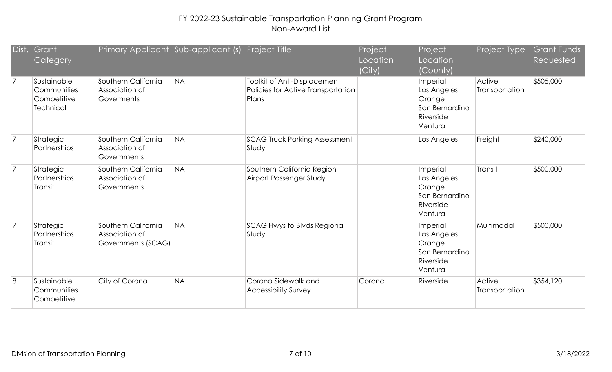|                | Dist. Grant<br>Category                                       | Primary Applicant Sub-applicant (s) Project Title           |           |                                                                             | Project<br>Location<br>(City) | Project<br>Location<br>(County)                                             | Project Type             | <b>Grant Funds</b><br>Requested |
|----------------|---------------------------------------------------------------|-------------------------------------------------------------|-----------|-----------------------------------------------------------------------------|-------------------------------|-----------------------------------------------------------------------------|--------------------------|---------------------------------|
|                | Sustainable<br><b>Communities</b><br>Competitive<br>Technical | Southern California<br>Association of<br>Goverments         | <b>NA</b> | Toolkit of Anti-Displacement<br>Policies for Active Transportation<br>Plans |                               | Imperial<br>Los Angeles<br>Orange<br>San Bernardino<br>Riverside<br>Ventura | Active<br>Transportation | \$505,000                       |
|                | Strategic<br>Partnerships                                     | Southern California<br>Association of<br>Governments        | <b>NA</b> | <b>SCAG Truck Parking Assessment</b><br>Study                               |                               | Los Angeles                                                                 | Freight                  | \$240,000                       |
|                | Strategic<br>Partnerships<br>Transit                          | Southern California<br>Association of<br>Governments        | <b>NA</b> | Southern California Region<br>Airport Passenger Study                       |                               | Imperial<br>Los Angeles<br>Orange<br>San Bernardino<br>Riverside<br>Ventura | Transit                  | \$500,000                       |
|                | Strategic<br>Partnerships<br>Transit                          | Southern California<br>Association of<br>Governments (SCAG) | <b>NA</b> | <b>SCAG Hwys to Blvds Regional</b><br>Study                                 |                               | Imperial<br>Los Angeles<br>Orange<br>San Bernardino<br>Riverside<br>Ventura | Multimodal               | \$500,000                       |
| $\overline{8}$ | Sustainable<br>Communities<br>Competitive                     | City of Corona                                              | <b>NA</b> | Corona Sidewalk and<br><b>Accessibility Survey</b>                          | Corona                        | Riverside                                                                   | Active<br>Transportation | \$354,120                       |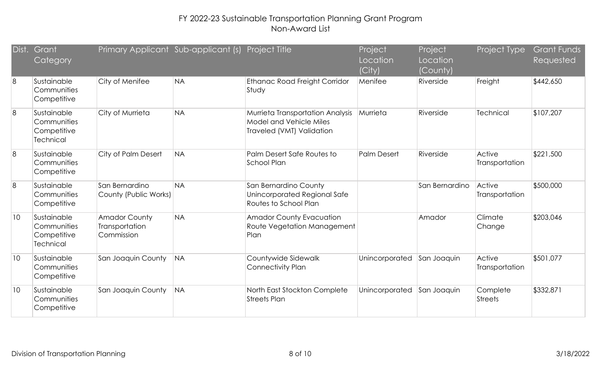| Dist.        | Grant<br>Category                                             | Primary Applicant Sub-applicant (s) Project Title    |           |                                                                                                 | Project<br>Location<br>(City) | Project<br>Location<br>(County) | Project Type               | <b>Grant Funds</b><br>Requested |
|--------------|---------------------------------------------------------------|------------------------------------------------------|-----------|-------------------------------------------------------------------------------------------------|-------------------------------|---------------------------------|----------------------------|---------------------------------|
| 8            | Sustainable<br><b>Communities</b><br>Competitive              | City of Menifee                                      | <b>NA</b> | <b>Ethanac Road Freight Corridor</b><br>Study                                                   | Menifee                       | Riverside                       | Freight                    | \$442,650                       |
| 8            | Sustainable<br><b>Communities</b><br>Competitive<br>Technical | City of Murrieta                                     | <b>NA</b> | Murrieta Transportation Analysis<br><b>Model and Vehicle Miles</b><br>Traveled (VMT) Validation | Murrieta                      | Riverside                       | Technical                  | \$107,207                       |
| 8            | Sustainable<br><b>Communities</b><br>Competitive              | City of Palm Desert                                  | <b>NA</b> | Palm Desert Safe Routes to<br><b>School Plan</b>                                                | <b>Palm Desert</b>            | Riverside                       | Active<br>Transportation   | \$221,500                       |
| 8            | Sustainable<br>Communities<br>Competitive                     | San Bernardino<br>County (Public Works)              | <b>NA</b> | San Bernardino County<br>Unincorporated Regional Safe<br>Routes to School Plan                  |                               | San Bernardino                  | Active<br>Transportation   | \$500,000                       |
| $ 10\rangle$ | Sustainable<br>Communities<br>Competitive<br>Technical        | <b>Amador County</b><br>Transportation<br>Commission | <b>NA</b> | <b>Amador County Evacuation</b><br>Route Vegetation Management<br>Plan                          |                               | Amador                          | Climate<br>Change          | \$203,046                       |
| 10           | Sustainable<br><b>Communities</b><br>Competitive              | San Joaquin County                                   | <b>NA</b> | Countywide Sidewalk<br><b>Connectivity Plan</b>                                                 | Unincorporated                | San Joaquin                     | Active<br>Transportation   | \$501,077                       |
| 10           | Sustainable<br><b>Communities</b><br>Competitive              | San Joaquin County                                   | <b>NA</b> | North East Stockton Complete<br><b>Streets Plan</b>                                             | Unincorporated                | San Joaquin                     | Complete<br><b>Streets</b> | \$332,871                       |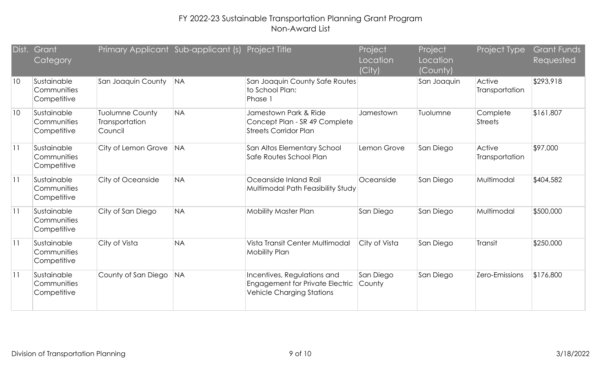| Dist.        | Grant<br>Category                                | Primary Applicant Sub-applicant (s) Project Title   |           |                                                                                                    | Project<br>Location<br>(City) | Project<br>Location<br>(County) | Project Type               | <b>Grant Funds</b><br>Requested |
|--------------|--------------------------------------------------|-----------------------------------------------------|-----------|----------------------------------------------------------------------------------------------------|-------------------------------|---------------------------------|----------------------------|---------------------------------|
| 10           | Sustainable<br><b>Communities</b><br>Competitive | San Joaquin County                                  | <b>NA</b> | San Joaquin County Safe Routes<br>to School Plan:<br>Phase 1                                       |                               | San Joaquin                     | Active<br>Transportation   | \$293,918                       |
| $ 10\rangle$ | Sustainable<br>Communities<br>Competitive        | <b>Tuolumne County</b><br>Transportation<br>Council | <b>NA</b> | Jamestown Park & Ride<br>Concept Plan - SR 49 Complete<br><b>Streets Corridor Plan</b>             | Jamestown                     | Tuolumne                        | Complete<br><b>Streets</b> | \$161,807                       |
| 1            | Sustainable<br><b>Communities</b><br>Competitive | City of Lemon Grove                                 | <b>NA</b> | San Altos Elementary School<br>Safe Routes School Plan                                             | Lemon Grove                   | San Diego                       | Active<br>Transportation   | \$97,000                        |
| 11           | Sustainable<br><b>Communities</b><br>Competitive | City of Oceanside                                   | <b>NA</b> | Oceanside Inland Rail<br>Multimodal Path Feasibility Study                                         | Oceanside                     | San Diego                       | Multimodal                 | \$404,582                       |
| 11           | Sustainable<br><b>Communities</b><br>Competitive | City of San Diego                                   | <b>NA</b> | <b>Mobility Master Plan</b>                                                                        | San Diego                     | San Diego                       | Multimodal                 | \$500,000                       |
| 11           | Sustainable<br><b>Communities</b><br>Competitive | City of Vista                                       | <b>NA</b> | Vista Transit Center Multimodal<br><b>Mobility Plan</b>                                            | City of Vista                 | San Diego                       | Transit                    | \$250,000                       |
| 11           | Sustainable<br>Communities<br>Competitive        | County of San Diego                                 | <b>NA</b> | Incentives, Regulations and<br><b>Engagement for Private Electric</b><br>Vehicle Charging Stations | San Diego<br>County           | San Diego                       | Zero-Emissions             | \$176,800                       |